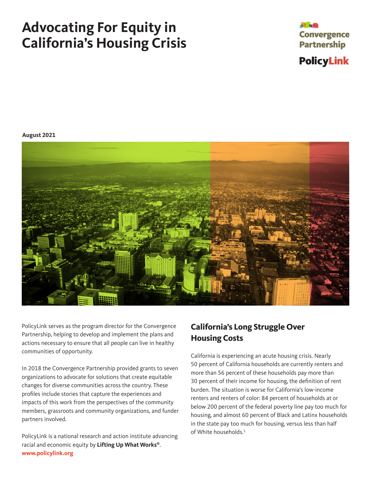# <span id="page-0-0"></span>**Advocating For Equity in California's Housing Crisis**



**August 2021**



PolicyLink serves as the program director for the Convergence Partnership, helping to develop and implement the plans and actions necessary to ensure that all people can live in healthy communities of opportunity.

In 2018 the Convergence Partnership provided grants to seven organizations to advocate for solutions that create equitable changes for diverse communities across the country. These profiles include stories that capture the experiences and impacts of this work from the perspectives of the community members, grassroots and community organizations, and funder partners involved.

PolicyLink is a national research and action institute advancing racial and economic equity by **Lifting Up What Works®**. **www.policylink.org**

## **California's Long Struggle Over Housing Costs**

California is experiencing an acute housing crisis. Nearly 50 percent of California households are currently renters and more than 56 percent of these households pay more than 30 percent of their income for housing, the definition of rent burden. The situation is worse for California's low-income renters and renters of color: 84 percent of households at or below 200 percent of the federal poverty line pay too much for housing, and almost 60 percent of Black and Latinx households in the state pay too much for housing, versus less than half of White households. $^1$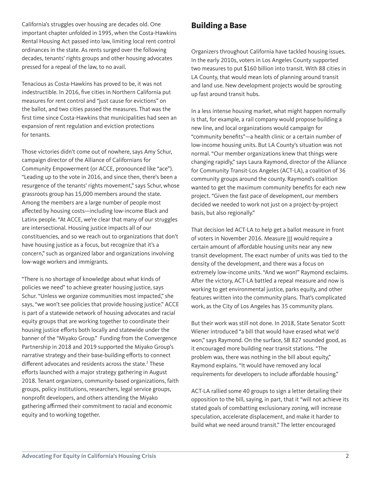<span id="page-1-0"></span>California's struggles over housing are decades old. One important chapter unfolded in 1995, when the Costa-Hawkins Rental Housing Act passed into law, limiting local rent control ordinances in the state. As rents surged over the following decades, tenants' rights groups and other housing advocates pressed for a repeal of the law, to no avail.

Tenacious as Costa-Hawkins has proved to be, it was not indestructible. In 2016, five cities in Northern California put measures for rent control and "just cause for evictions" on the ballot, and two cities passed the measures. That was the first time since Costa-Hawkins that municipalities had seen an expansion of rent regulation and eviction protections for tenants.

Those victories didn't come out of nowhere, says Amy Schur, campaign director of the Alliance of Californians for Community Empowerment (or ACCE, pronounced like "ace"). "Leading up to the vote in 2016, and since then, there's been a resurgence of the tenants' rights movement," says Schur, whose grassroots group has 15,000 members around the state. Among the members are a large number of people most affected by housing costs—including low-income Black and Latinx people. "At ACCE, we're clear that many of our struggles are intersectional. Housing justice impacts all of our constituencies, and so we reach out to organizations that don't have housing justice as a focus, but recognize that it's a concern," such as organized labor and organizations involving low-wage workers and immigrants.

"There is no shortage of knowledge about what kinds of policies we need" to achieve greater housing justice, says Schur. "Unless we organize communities most impacted," she says, "we won't see policies that provide housing justice." ACCE is part of a statewide network of housing advocates and racial equity groups that are working together to coordinate their housing justice efforts both locally and statewide under the banner of the "Miyako Group." Funding from the Convergence Partnership in 2018 and 2019 supported the Miyako Group's narrative strategy and their base-building efforts to connect different advocates and residents across the state.<sup>[2](#page-5-0)</sup> These efforts launched with a major strategy gathering in August 2018. Tenant organizers, community-based organizations, faith groups, policy institutions, researchers, legal service groups, nonprofit developers, and others attending the Miyako gathering affirmed their commitment to racial and economic equity and to working together.

## **Building a Base**

Organizers throughout California have tackled housing issues. In the early 2010s, voters in Los Angeles County supported two measures to put \$160 billion into transit. With 88 cities in LA County, that would mean lots of planning around transit and land use. New development projects would be sprouting up fast around transit hubs.

In a less intense housing market, what might happen normally is that, for example, a rail company would propose building a new line, and local organizations would campaign for "community benefits"—a health clinic or a certain number of low-income housing units. But LA County's situation was not normal. "Our member organizations knew that things were changing rapidly," says Laura Raymond, director of the Alliance for Community Transit-Los Angeles (ACT-LA), a coalition of 36 community groups around the county. Raymond's coalition wanted to get the maximum community benefits for each new project. "Given the fast pace of development, our members decided we needed to work not just on a project-by-project basis, but also regionally."

That decision led ACT-LA to help get a ballot measure in front of voters in November 2016. Measure III would require a certain amount of affordable housing units near any new transit development. The exact number of units was tied to the density of the development, and there was a focus on extremely low-income units. "And we won!" Raymond exclaims. After the victory, ACT-LA battled a repeal measure and now is working to get environmental justice, parks equity, and other features written into the community plans. That's complicated work, as the City of Los Angeles has 35 community plans.

But their work was still not done. In 2018, State Senator Scott Wiener introduced "a bill that would have erased what we'd won," says Raymond. On the surface, SB 827 sounded good, as it encouraged more building near transit stations. "The problem was, there was nothing in the bill about equity," Raymond explains. "It would have removed any local requirements for developers to include affordable housing."

ACT-LA rallied some 40 groups to sign a letter detailing their opposition to the bill, saying, in part, that it "will not achieve its stated goals of combatting exclusionary zoning, will increase speculation, accelerate displacement, and make it harder to build what we need around transit." The letter encouraged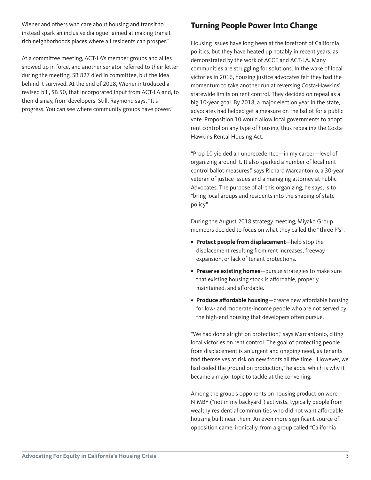Wiener and others who care about housing and transit to instead spark an inclusive dialogue "aimed at making transitrich neighborhoods places where all residents can prosper."

At a committee meeting, ACT-LA's member groups and allies showed up in force, and another senator referred to their letter during the meeting. SB 827 died in committee, but the idea behind it survived. At the end of 2018, Wiener introduced a revised bill, SB 50, that incorporated input from ACT-LA and, to their dismay, from developers. Still, Raymond says, "It's progress. You can see where community groups have power."

## **Turning People Power Into Change**

Housing issues have long been at the forefront of California politics, but they have heated up notably in recent years, as demonstrated by the work of ACCE and ACT-LA. Many communities are struggling for solutions. In the wake of local victories in 2016, housing justice advocates felt they had the momentum to take another run at reversing Costa-Hawkins' statewide limits on rent control. They decided on repeal as a big 10-year goal. By 2018, a major election year in the state, advocates had helped get a measure on the ballot for a public vote. Proposition 10 would allow local governments to adopt rent control on any type of housing, thus repealing the Costa-Hawkins Rental Housing Act.

"Prop 10 yielded an unprecedented—in my career—level of organizing around it. It also sparked a number of local rent control ballot measures," says Richard Marcantonio, a 30-year veteran of justice issues and a managing attorney at Public Advocates. The purpose of all this organizing, he says, is to "bring local groups and residents into the shaping of state policy."

During the August 2018 strategy meeting, Miyako Group members decided to focus on what they called the "three P's":

- **• Protect people from displacement**—help stop the displacement resulting from rent increases, freeway expansion, or lack of tenant protections.
- **• Preserve existing homes**—pursue strategies to make sure that existing housing stock is affordable, properly maintained, and affordable.
- **• Produce affordable housing**—create new affordable housing for low- and moderate-income people who are not served by the high-end housing that developers often pursue.

"We had done alright on protection," says Marcantonio, citing local victories on rent control. The goal of protecting people from displacement is an urgent and ongoing need, as tenants find themselves at risk on new fronts all the time. "However, we had ceded the ground on production," he adds, which is why it became a major topic to tackle at the convening.

Among the group's opponents on housing production were NIMBY ("not in my backyard") activists, typically people from wealthy residential communities who did not want affordable housing built near them. An even more significant source of opposition came, ironically, from a group called "California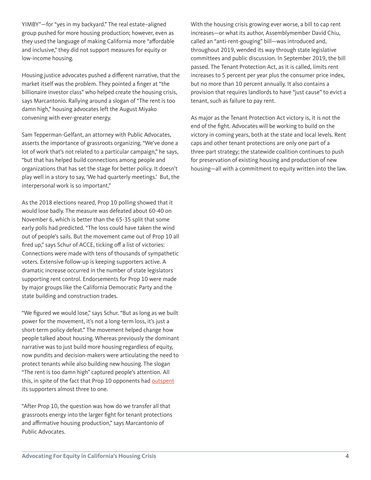YIMBY"—for "yes in my backyard." The real estate–aligned group pushed for more housing production; however, even as they used the language of making California more "affordable and inclusive," they did not support measures for equity or low-income housing.

Housing justice advocates pushed a different narrative, that the market itself was the problem. They pointed a finger at "the billionaire investor class" who helped create the housing crisis, says Marcantonio. Rallying around a slogan of "The rent is too damn high," housing advocates left the August Miyako convening with ever-greater energy.

Sam Tepperman-Gelfant, an attorney with Public Advocates, asserts the importance of grassroots organizing. "We've done a lot of work that's not related to a particular campaign," he says, "but that has helped build connections among people and organizations that has set the stage for better policy. It doesn't play well in a story to say, 'We had quarterly meetings.' But, the interpersonal work is so important."

As the 2018 elections neared, Prop 10 polling showed that it would lose badly. The measure was defeated about 60-40 on November 6, which is better than the 65-35 split that some early polls had predicted. "The loss could have taken the wind out of people's sails. But the movement came out of Prop 10 all fired up," says Schur of ACCE, ticking off a list of victories: Connections were made with tens of thousands of sympathetic voters. Extensive follow-up is keeping supporters active. A dramatic increase occurred in the number of state legislators supporting rent control. Endorsements for Prop 10 were made by major groups like the California Democratic Party and the state building and construction trades.

"We figured we would lose," says Schur. "But as long as we built power for the movement, it's not a long-term loss, it's just a short-term policy defeat." The movement helped change how people talked about housing. Whereas previously the dominant narrative was to just build more housing regardless of equity, now pundits and decision-makers were articulating the need to protect tenants while also building new housing. The slogan "The rent is too damn high" captured people's attention. All this, in spite of the fact that Prop 10 opponents had [outspent](https://www.sfchronicle.com/politics/article/Prop-10-California-rent-control-expansion-13369284.php) its supporters almost three to one.

"After Prop 10, the question was how do we transfer all that grassroots energy into the larger fight for tenant protections and affirmative housing production," says Marcantonio of Public Advocates.

With the housing crisis growing ever worse, a bill to cap rent increases—or what its author, Assemblymember David Chiu, called an "anti-rent-gouging" bill—was introduced and, throughout 2019, wended its way through state legislative committees and public discussion. In September 2019, the bill passed. The Tenant Protection Act, as it is called, limits rent increases to 5 percent per year plus the consumer price index, but no more than 10 percent annually. It also contains a provision that requires landlords to have "just cause" to evict a tenant, such as failure to pay rent.

As major as the Tenant Protection Act victory is, it is not the end of the fight. Advocates will be working to build on the victory in coming years, both at the state and local levels. Rent caps and other tenant protections are only one part of a three-part strategy; the statewide coalition continues to push for preservation of existing housing and production of new housing—all with a commitment to equity written into the law.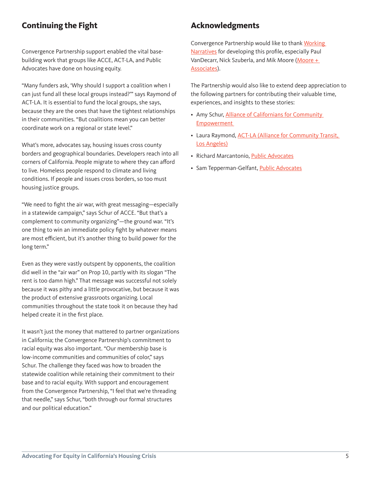## **Continuing the Fight**

Convergence Partnership support enabled the vital basebuilding work that groups like ACCE, ACT-LA, and Public Advocates have done on housing equity.

"Many funders ask, 'Why should I support a coalition when I can just fund all these local groups instead?'" says Raymond of ACT-LA. It is essential to fund the local groups, she says, because they are the ones that have the tightest relationships in their communities. "But coalitions mean you can better coordinate work on a regional or state level."

What's more, advocates say, housing issues cross county borders and geographical boundaries. Developers reach into all corners of California. People migrate to where they can afford to live. Homeless people respond to climate and living conditions. If people and issues cross borders, so too must housing justice groups.

"We need to fight the air war, with great messaging—especially in a statewide campaign," says Schur of ACCE. "But that's a complement to community organizing"—the ground war. "It's one thing to win an immediate policy fight by whatever means are most efficient, but it's another thing to build power for the long term."

Even as they were vastly outspent by opponents, the coalition did well in the "air war" on Prop 10, partly with its slogan "The rent is too damn high." That message was successful not solely because it was pithy and a little provocative, but because it was the product of extensive grassroots organizing. Local communities throughout the state took it on because they had helped create it in the first place.

It wasn't just the money that mattered to partner organizations in California; the Convergence Partnership's commitment to racial equity was also important. "Our membership base is low-income communities and communities of color," says Schur. The challenge they faced was how to broaden the statewide coalition while retaining their commitment to their base and to racial equity. With support and encouragement from the Convergence Partnership, "I feel that we're threading that needle," says Schur, "both through our formal structures and our political education."

### **Acknowledgments**

Convergence Partnership would like to thank [Working](https://workingnarratives.org/)  [Narratives](https://workingnarratives.org/) for developing this profile, especially Paul VanDecarr, Nick Szuberla, and Mik Moore (Moore + [Associates\)](http://mooreandassociates.co/).

The Partnership would also like to extend deep appreciation to the following partners for contributing their valuable time, experiences, and insights to these stories:

- Amy Schur, [Alliance of Californians for Community](https://www.acceaction.org/)  [Empowerment](https://www.acceaction.org/)
- Laura Raymond, [ACT-LA \(Alliance for Community Transit,](http://allianceforcommunitytransit.org/)  [Los Angeles\)](http://allianceforcommunitytransit.org/)
- Richard Marcantonio, [Public Advocates](https://www.publicadvocates.org/)
- Sam Tepperman-Gelfant, [Public Advocates](https://www.publicadvocates.org/)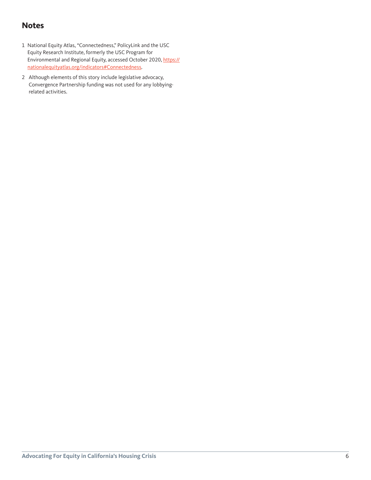## <span id="page-5-0"></span>**Notes**

- [1](#page-0-0) National Equity Atlas, "Connectedness," PolicyLink and the USC Equity Research Institute, formerly the USC Program for Environmental and Regional Equity, accessed October 2020, [https://](https://nationalequityatlas.org/indicators#Connectedness.  ) [nationalequityatlas.org/indicators#Connectedness](https://nationalequityatlas.org/indicators#Connectedness.  ).
- [2](#page-1-0) Although elements of this story include legislative advocacy, Convergence Partnership funding was not used for any lobbyingrelated activities.